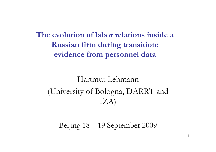**The evolution of labor relations inside a Russian firm during transition: evidence from personnel data**

Hartmut Lehmann (University of Bologna, DARRT and IZA)

Beijing 18 – 19 September 2009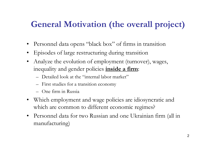# **General Motivation (the overall project)**

- $\bullet$ Personnel data opens "black box" of firms in transition
- $\bullet$ Episodes of large restructuring during transition
- $\bullet$ Analyze the evolution of employment (turnover), wages, inequality and gender policies **inside a firm**:
	- $-$  Detailed look at the "internal labor market"
	- First studies for a transition economy
	- –One firm in Russia
- Which employment and wage policies are idiosyncratic and which are common to different economic regimes?
- Personnel data for two Russian and one Ukrainian firm (all in manufacturing)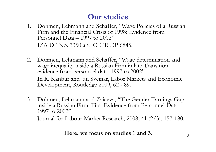#### **Our studies**

- 1. Dohmen, Lehmann and Schaffer, "Wage Policies of a Russian Firm and the Financial Crisis of 1998: Evidence from Personnel Data – 1997 to 2002" IZA DP No. 3350 and CEPR DP 6845.
- 2. Dohmen, Lehmann and Schaffer, "Wage determination and wage inequality inside a Russian Firm in late Transition: evidence from personnel data, 1997 to 2002" In R. Kanbur and Jan Sveinar, Labor Markets and Economic Development, Routledge 2009, 62 - 89.
- 3. Dohmen, Lehmann and Zaiceva, "The Gender Earnings Gap inside a Russian Firm: First Evidence from Personnel Data – 1997 to 2002"

Journal for Labour Market Research, 2008, 41 (2/3), 157-180.

#### Here, we focus on studies 1 and 3.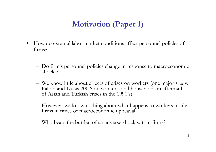# **Motivation (Paper 1)**

- $\bullet$ How do external labor market conditions affect personnel policies of firms?
	- Do firm's personnel policies change in response to macroeconomic shocks?
	- We know little about effects of crises on workers (one major study: Fallon and Lucas 2002: on workers and households i n aftermath of Asian and Turkish crises in the 1990's)
	- However, we know nothing about what happens to workers inside firms in times of macroeconomic upheaval
	- Who bears the burden of an adverse shock within firms?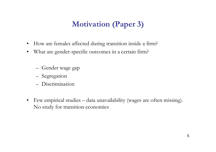# **Motivation (Paper 3)**

- $\bullet$ How are females affected during transition inside a firm?
- •What are gender-specific outcomes in a certain firm?
	- Gender wage gap
	- Segregation
	- Discrimination
- •Few empirical studies – data unavailability (wages are often missing). No study for transition economies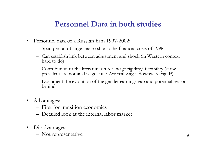### **Personnel Data in both studies**

- • Personnel data of a Russian firm 1997-2002:
	- Span period of large macro shock: the financial crisis of 1998
	- Can establish link between adjustment and shock (in Western context hard to do)
	- Contribution to the literature on real wage rigidity/ flexibility (How prevalent are nominal wage cuts? Are real wages downward rigid?)
	- Document the evolution of the gender earnings gap and potential reasons behind
- $\bullet$  Advantages:
	- First for transition economies
	- Detailed look at the internal labor market
- $\bullet$  Disadvantages:
	- Not representative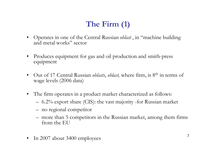# **The Firm (1)**

- • Operates in one of the Central Russian *oblast* , in "machine building and metal works" sector
- • Produces equipment for gas and oil production and smith-press equipment
- • Out of 17 Central Russian *oblasts*, *oblast,* where firm, is 8t<sup>h</sup> in terms of wage levels (2006 data)
- $\bullet$  The firm operates in a product market characterized as follows:
	- $-$  6.2% export share (CIS): the vast majority -for Russian market
	- no regional competitor
	- more than 5 competitors in the Russian market, among them firms from the EU
- •In 2007 about 3400 employees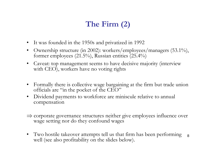# **The Firm (2)**

- $\bullet$ It was founded in the 1950s and privatized in 1992
- • Ownership structure (in 2002): workers/employees/managers (53.1%), former employees  $(21.5\%)$ , Russian entities  $(25.4\%)$
- $\bullet$  Caveat: top management seems to have decisive majority (interview with CEO), workers have no voting rights
- $\bullet$  Formally there is collective wage bargaining at the firm but trade union officials are "in the pocket of the CEO"
- $\bullet$  Dividend payments to workforce are miniscule relative to annual compensation
- ⇒ corporate governance structures neither give employees influence over wage setting nor do they confound wages
- 8• Two hostile takeover attempts tell us that firm has been performing well (see also profitability on the slides below).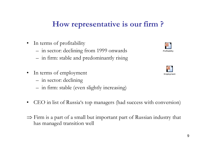### **How representative is our firm ?**

- $\bullet$ In terms of profitability
	- in sector: declining from 1999 onwards
	- in firm: stable and predominantly rising
- •In terms of employment
	- in sector: declining
	- in firm: stable (even slightly increasing)
- $\bullet$ C E O in list of Russia's top managers (had success with conversion)
- ⇒ Firm is a part of a small but important part of Russian industry that has managed transition well



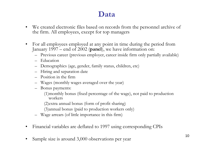### **Data**

- • We created electronic files based on records from the personnel archive of the firm. All employees, except for top managers
- • For all employees employed at any point in time during the period from January 1997 – end of 2002 (**panel**), we have information on:
	- Previous career (previous employer, career inside firm only partially available)
	- Education
	- Demographics (age, gender, family status, children, etc)
	- Hiring and separation date
	- Position in the firm
	- Wages (monthly wages averaged over the year)
	- Bonus payments:
		- (1)monthly bonus (fixed percentage of the wage), not paid to production workers
		- (2)extra annual bonus (form of profit sharing)
		- (3)annual bonus (paid to production workers only)
	- Wage arrears (of little importance in this firm)
- •Financial variables are deflated to 1997 using corresponding CPIs
- •Sample size is around 3,000 observations per year 10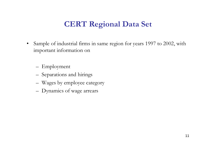# **CERT Regional Data Set**

- •Sample of industrial firms in same regio n for years 1997 to 2002, with important information on
	- Employment
	- Separations and hirings
	- Wages by employee category
	- Dynamics o f wage arrears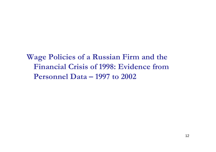# **Wage Policies of a Russian Firm and the Financial Crisis of 1998: Evidence from Personnel Data – 1997 to 2002**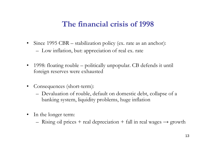### **The financial crisis of 1998**

- Since 1995 CBR stabilization policy (ex. rate as an anchor): – Low inflation, but: appreciation of real ex. rate
- 1998: floating rouble – politi call <sup>y</sup> unpopular. CB defends i t until foreign reserves were exhausted
- $\bullet$ Consequences (short-term):
	- Devaluation of rouble, default on domestic debt, collapse of <sup>a</sup> banking system, liquidity problems, huge inflation
- $\bullet$ In the longer term:
	- $-$  Rising oil prices  $+$  real depreciation  $+$  fall in real wages  $\rightarrow$  growth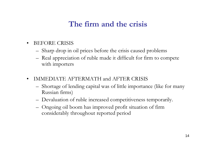### **The firm and the crisis**

- $\bullet$  BEFORE CRISIS
	- Sharp drop in oil prices before the crisis caused problems
	- Real appreciation of ruble made it difficult for firm to compete with importers
- • IMMEDIATE AFTERMATH and AFTER CRISIS
	- Shortage of lending capital was of little importance (like for many Russian firms)
	- Devaluation of ruble increased competitiveness temporarily.
	- Ongoing oil boom has improved profit situation of firm considerably throughout reported period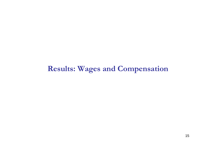### **Results: Wages and Compensation**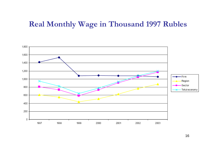### **Real Monthly Wage in Thousand 1997 Rubles**

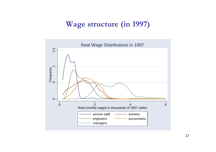### **Wage structure (in 1997)**

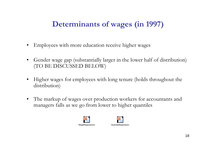# **Determinants of wages (in 1997)**

- •E m ployees with more education receive higher wages
- •Gender wage gap (substantially larger in the lower half of distribution) (TO BE DISCUSSED BELOW)
- $\bullet$ Higher wages for employees with long tenure (holds throughout the distribution)
- •The markup of wages over production workers for accountants and managers falls as we go from lower to higher quantiles



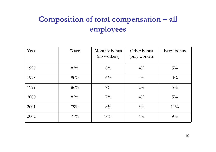# **Composition of total compensation – all employees**

| Year | Wage   | Monthly bonus<br>(no workers) | Other bonus<br>(only workers) | Extra bonus |
|------|--------|-------------------------------|-------------------------------|-------------|
| 1997 | 83%    | $8\%$                         | $4\frac{0}{0}$                | $5\%$       |
| 1998 | 90%    | $6\%$                         | $4\frac{0}{0}$                | $0\%$       |
| 1999 | 86%    | $7\%$                         | $2\%$                         | $5\%$       |
| 2000 | 85%    | $7\%$                         | $4\frac{0}{0}$                | $5\%$       |
| 2001 | 79%    | $8\%$                         | $3\%$                         | $11\%$      |
| 2002 | $77\%$ | 10%                           | $4\frac{0}{0}$                | $9\%$       |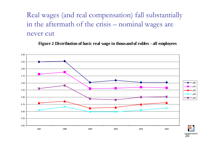Real wages (and real compensation) fall substantially in the aftermath of the crisis – nominal wages are never cut

**Fig ure 2 Dis tri bu tion of basic real wag e i n th ou s an d of rubles - all employees**

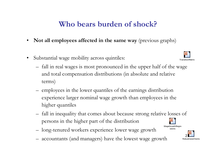### **Who bears burden of shock?**

- •**Not all employees affected in the same way** (previous graphs)
- $\bullet$ Substantial wage mobility across quintiles:
	- fall in real wages is most pronounced in the upper half of the wage and total compensation distributions (in absolute and relative terms)
	- employees in the lower quantiles of the earnings distribution experience larger nominal wage growth than employees in the higher quantiles
	- fall in inequality that comes about because strong relative losses of persons in the higher part of the distribution
	- long-tenured workers experience lower wage growth
	- accountants (and managers) have the lowest wage growth



**TransitionMatrix** 

21

RobustnessChecks

WageGrowthRegre ssions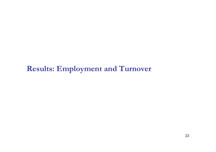**Results: Employment and Turnover**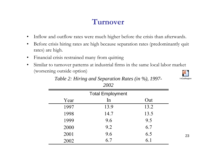### **Turnover**

- •Inflow and outflow rates were much higher before the crisis than afterwards.
- • Before crisis hiring rates are high because separation rates (predominantly quit rates) are high.
- •Financial crisis restrained many from quitting
- • Similar to turnover patterns at industrial firms in the same local labor market (worsening outside option)



|      | ----                    |      |
|------|-------------------------|------|
|      | <b>Total Employment</b> |      |
| Year | In                      | Out  |
| 1997 | 13.9                    | 13.2 |
| 1998 | 14.7                    | 13.5 |
| 1999 | 9.6                     | 9.5  |
| 2000 | 9.2                     | 6.7  |
| 2001 | 9.6                     | 6.5  |
| 2002 | 6.7                     | 6.1  |

#### *Table 2: Hiring and Separation Rates (in %), 1997- 2002*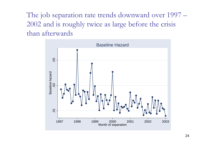The job separation rate trends downward over 1997 – 2002 and is roughly twice as large before the crisis than afterwards

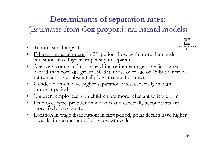# **Determinants of separation rates:**

(Estimates from Cox proportional hazard models)

• Tenure: small impact



- Age: very young and those reaching retirement age have far higher hazard than core age group (30-35); those over age of 45 but far from retirement have substantially lower separation rates
- <u>Gender</u>: women have higher separation rates, especially in high turnover period
- •Children: employees with children are more reluctant to leave firm
- •E m ployee type: production workers and especially accountants are more likely to separate
- •Location in wage distribution: in first period, polar deciles have higher hazards, in second period only lowest decile

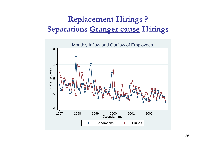# **Replacement Hirings ? Separations Granger cause Hirings**

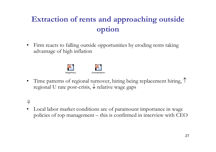# **Extraction of rents and approaching outside option**

 $\bullet$ Firm reacts to falling outside opportunities by eroding rents taking advantage of high inflation



- •Time patterns of regional turnover, hiring being replacement hiring, ↑ regional U rate post-crisis, ↓ relative wage gaps
- ⇓
- $\bullet$ Local labor market conditions are of paramount importance in wage policies of top management – this is confirmed in interview with CEO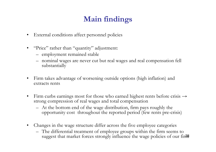### **Main findings**

- •External conditions affect personnel policies
- • "Price" rather than "quantity" adjustment:
	- employment remained stable
	- nominal wages are never cut but real wages and real compensation fell substantially
- • Firm takes advantage of worsening outside options (high inflation) and extracts rents
- •Firm curbs earnings most for those who earned highest rents before crisis  $\rightarrow$ strong compression of real wages and total compensation
	- At the bottom end of the wage distribution, firm pays roughly the opportunity cost throughout the reported period (few rents pre-crisis)
- • Changes in the wage structure differ across the five employee categories
	- suggest that market forces strongly influence the wage policies of our fir<del>R</del> The differential treatment of employee groups within the firm seems to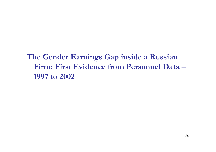# **The Gender Earnings Gap inside a Russian Firm: First Evidence from Personnel Data –1997 to 2002**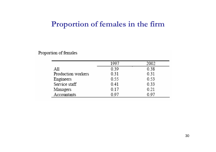#### **Proportion of females in the firm**

#### Proportion of females

|                    | 1997 | 2002 |
|--------------------|------|------|
| All                | 0.39 | 0.38 |
| Production workers | 0.31 | 0.31 |
| Engineers          | 0.55 | 0.53 |
| Service staff      | 0.41 | 0.33 |
| Managers           | 0.17 | 0.21 |
| Accountants        | በ 07 | N 97 |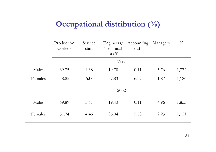### **Occupational distribution (%)**

|         | Production<br>workers | Service<br>staff | Engineers/<br>Technical<br>staff | Accounting<br>staff | Managers | N     |
|---------|-----------------------|------------------|----------------------------------|---------------------|----------|-------|
|         |                       |                  | 1997                             |                     |          |       |
| Males   | 69.75                 | 4.68             | 19.70                            | 0.11                | 5.76     | 1,772 |
| Females | 48.85                 | 5.06             | 37.83                            | 6.39                | 1.87     | 1,126 |
|         |                       |                  | 2002                             |                     |          |       |
| Males   | 69.89                 | 5.61             | 19.43                            | 0.11                | 4.96     | 1,853 |
| Females | 51.74                 | 4.46             | 36.04                            | 5.53                | 2.23     | 1,121 |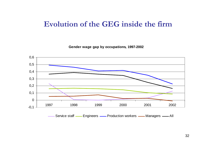#### **Evolution of the GEG inside the firm**

**Gender wage gap by occupations, 1997-2002**



Service staff —— Engineers —— Production workers —— Managers —— All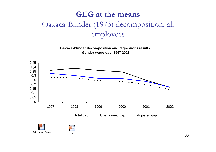# **GEG at the means**  Oaxaca-Blinder (1973) decomposition, all employees

Oaxaca-Blinder decomposition and regressions results: **G e n d er w a g e g a p, 1997-2002**

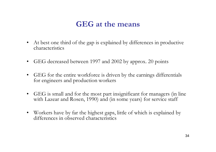### **GEG at the means**

- At best one third of the gap is explained by differences in productive characteristics
- •GEG decreased between 1997 and 2002 by approx. 20 points
- $\bullet$ GEG for the entire workforce is driven by the earnings differentials for engineers and production workers
- •GEG is small and for the most part insignificant for managers (in line with Lazear and Rosen, 1990) and (in some years) for service staff
- Workers have by far the highest gaps, little of which is explained by differences in observed characteristics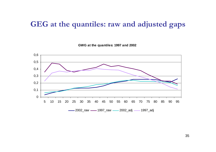#### **GEG at the quantiles: raw and adjusted gaps**

**G W G at t h e q u a ntile s: 1997 a n d 2002**



2002\_raw —— 1997\_raw —— 2002\_adj —— 1997\_adj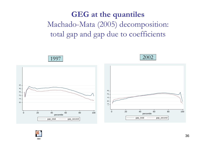# **GEG at the quantiles** Machado-Mata (2005) decomposition: total gap and gap due to coefficients



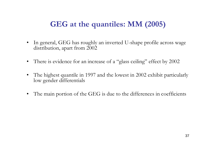### **GEG at the quantiles: MM (2005)**

- •In general, GEG has roughly an inverted U-shape profile across wage distribution, apart from 2002
- •There is evidence for an increase of a ''glass ceiling'' effect by 2002
- •The highest quantile in 1997 and the lowest in 2002 exhibit particularly low gender differentials
- •The main portion of the GEG is due to the differences in coefficients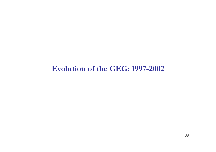#### **Evolution of the GEG: 1997-2002**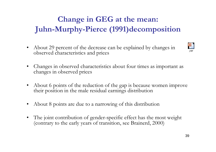# **Change in GEG at the mean: Juhn-Murphy-Pierce (1991)decomposition**

•About 29 percent of the decrease can be explained by changes in observed characteristics and prices



- •Changes in observed characteristics about four times as important as changes in observed prices
- •About 6 points of the reduction of the gap is because women improve their position in the male residual earnings distribution
- •About 8 points are due to a narrowing of this distribution
- •The joint contribution of gender-specific effect has the most weight ( contrary to t he early years of transition, see Brainerd, 2000)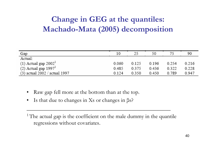# **Change in GEG at the quantiles: Machado-Mata (2005) decomposition**

| Gap                                | 10      | 25    | 50    |       | 90    |
|------------------------------------|---------|-------|-------|-------|-------|
| Actual:                            |         |       |       |       |       |
| $(1)$ Actual gap 2002 <sup>1</sup> | 0.060   | 0.125 | 0.196 | 0.254 | 0.216 |
| $(2)$ Actual gap 1997 <sup>1</sup> | 0.485   | 0.375 | 0.436 | 0.322 | 0.228 |
| $(3)$ actual 2002 / actual 1997    | 0 1 2 4 | 0.350 | 0.450 | 0.789 | 0.947 |

- •Raw gap fell more at the bottom than at the top.
- $\bullet$ I s that due to changes in Xs or changes in βs?

<sup>1</sup> The actual gap is the coefficient on the male dummy in the quantile regressions without covariates.

 $\mathcal{L}_\mathcal{L}$  , and the contribution of the contribution of the contribution of the contribution of the contribution of the contribution of the contribution of the contribution of the contribution of the contribution of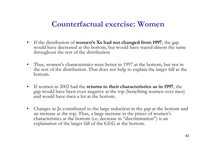### **Counterfactual exercise: Women**

- $\bullet$ I f the distribution of **women's Xs had not changed from 1997**, the gap would have decreased at the bottom, but would have stayed almos t the s ame throughout the rest of the distribution
- $\bullet$ Thus, women's c haracteristic s were b etter in 1997 at the bottom, but not in the rest of the distribution. That does not help to explain the larger fall at the bottom.
- $\bullet$ If women in 2002 had the **returns to their characteristics as in 1997**, the gap would have been even negative at the top (benefiting women over men) and would have risen a lot at the bottom.
- •Changes in βs contributed to the large reduction in the gap at the bottom and an increase at the top. Thus, a large increase in the prices of women's characteristics at the bottom (i.e. decrease in "discrimination") is an explanation o f the larger fall of the GEG at the bottom.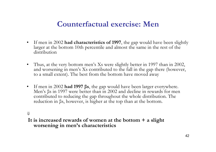### **Counterfactual exercise: Men**

- $\bullet$ I f men in 2002 **had characteristics of 1997**, the gap would have been slightly larger at the bottom 10th percentile and almost the same in the rest of the distribution
- •Thus, at the very bottom men's Xs were slightly better in 1997 than in 2002, and worsening in men's Xs contributed t o the fall in the gap there (however, to a small extent). The best from the bottom have moved away
- •I f men in 2002 **had 1997 β <sup>s</sup>**, the gap would have been larger everywhere. Men's βs in 1997 were better than in 2002 and decline in rewards for men contributed t o reducing the gap throughout the whole distribution. The reduction in βs, however, is higher at the top than at the bottom.

⇓

**It is increased rewards of women at the bottom + a slight worsening in men's characteristics**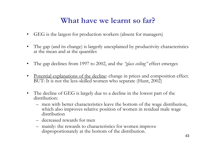#### **What have we learnt so far?**

- •GEG is the largest for production workers (absent for managers)
- • The gap (and its change) is largerly unexplained by productivity characteristics at the mean and at the quantiles
- •The gap declines from 1997 to 2002, and the *"glass ceiling"* effect emerges
- •Potential explanations of the decline: change in prices and composition effect. BUT: It is not the less-skilled women who separate (Hunt, 2002)
- • The decline of GEG is largely due to a decline in the lowest part of the distribution:
	- men with better characteristics leave the bottom of the wage distribution, which also improves relative position of women in residual male wage distribution
	- decreased rewards for men
	- mainly: the rewards to characteristics for women improve disproportionately at the bottom of the distribution.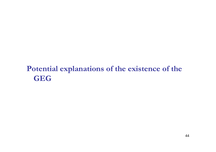### **Potential explanations of the existence of the GEG**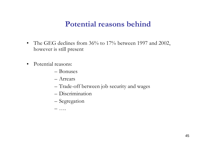### **Potential reasons behind**

- The GEG declines from 36% to 17% between 1997 and 2002, however is still present
- $\bullet$  Potential reasons:
	- Bonuses
	- Arrears
	- Trade-off between job security and wages
	- Discrimination
	- Segregation

– ….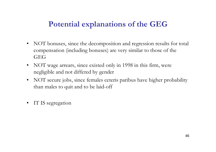### **Potential explanations of the GEG**

- NOT bonuses, since the decomposition and regression results for total compensation (including bonuses) are very similar to those of the GEG
- NOT wage arrears, since existed only in 1998 in this firm, were negligible and not differed by gender
- NOT secure jobs, since females ceteris paribus have higher probability than males to quit and to be laid-off
- $\bullet$ IT IS segregation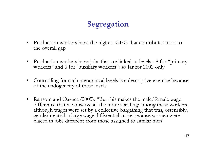# **Segregation**

- $\bullet$  Production workers have the highest GEG that contributes most to the overall gap
- • Production workers have jobs that are linked to levels - 8 for "primary workers" and 6 for "auxiliary workers": so far for 2002 only
- Controlling for such hierarchical levels is a descriptive exercise because of the endogeneity of these levels
- $\bullet$  Ransom and Oaxaca (2005): "But this makes the male/female wage difference that we observe all the more startling: among these workers, although wages were set by a collective bargaining that was, ostensibly, gender neutral, a large wage differential arose because women were placed in jobs different from those assigned to similar men"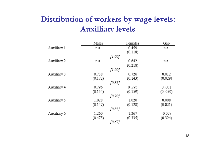### **Distribution of workers by wage levels: Auxilliary levels**

|             | Males   | Females                      | Gap      |
|-------------|---------|------------------------------|----------|
| Auxiliary 1 | n.a.    | 0.459                        | n.a.     |
|             |         | (0.118)                      |          |
|             |         | [1.00]                       |          |
| Auxiliary 2 | n.a.    | 0.642                        | n.a.     |
|             |         | (0.218)                      |          |
|             |         | $\int$ <i>I</i> $.00$ $\int$ |          |
| Auxiliary 3 | 0.738   | 0.726                        | 0.012    |
|             | (0.172) | (0.143)                      | (0.029)  |
|             |         | [0.85]                       |          |
| Auxiliary 4 | 0.796   | 0.795                        | 0.001    |
|             | (0.154) | (0.159)                      | (0.059)  |
|             |         | [0.90]                       |          |
| Auxiliary 5 | 1.028   | 1.020                        | 0.008    |
|             | (0.147) | (0.128)                      | (0.021)  |
|             |         | [0.83]                       |          |
| Auxiliary 6 | 1.260   | 1.267                        | $-0.007$ |
|             | (0.475) | (0.335)                      | (0.324)  |
|             |         | TO.671                       |          |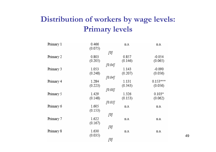### **Distribution of workers by wage levels: Primary levels**

| Primary 1 | 0.466<br>(0.075) |        | n.a.    | n.a.       |
|-----------|------------------|--------|---------|------------|
|           |                  | [0]    |         |            |
| Primary 2 | 0.803            |        | 0.857   | $-0.054$   |
|           | (0.205)          |        | (0.146) | (0.065)    |
|           |                  | [0.04] |         |            |
| Primary 3 | 1.053            |        | 1.143   | $-0.090$   |
|           | (0.248)          |        | (0.207) | (0.056)    |
|           |                  | [0.04] |         |            |
| Primary 4 | 1.284            |        | 1.131   | $0.153***$ |
|           | (0.223)          |        | (0.343) | (0.056)    |
|           |                  | [0.08] |         |            |
| Primary 5 | 1.429            |        | 1.326   | $0.103*$   |
|           | (0.148)          |        | (0.153) | (0.062)    |
|           |                  | [0.03] |         |            |
| Primary 6 | 1.605            |        | n.a.    | n.a.       |
|           | (0.153)          |        |         |            |
|           |                  | [0]    |         |            |
| Primary 7 | 1.622            |        | n.a.    | n.a.       |
|           | (0.167)          |        |         |            |
|           |                  | [0]    |         |            |
| Primary 8 | 1.630            |        | n.a.    | n.a.       |
|           | (0.035)          |        |         |            |
|           |                  | [0]    |         |            |
|           |                  |        |         |            |

49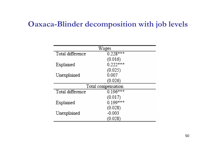#### **Oaxaca-Blinder decomposition with job levels**

| Wages            |                    |  |  |
|------------------|--------------------|--|--|
| Total difference | $0.228***$         |  |  |
|                  | (0.016)            |  |  |
| Explained        | $0.222***$         |  |  |
|                  | (0.025)            |  |  |
| Unexplained      | 0.007              |  |  |
|                  | (0.026)            |  |  |
|                  | Total compensation |  |  |
| Total difference | $0.196***$         |  |  |
|                  | (0.017)            |  |  |
| Explained        | .199***            |  |  |
|                  | (0.028)            |  |  |
| Unexplained      | $-0.003$           |  |  |
|                  | (0.028)            |  |  |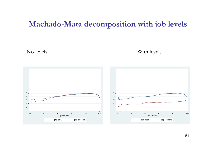### **Machado-Mata decomposition with job levels**

No levels With levels